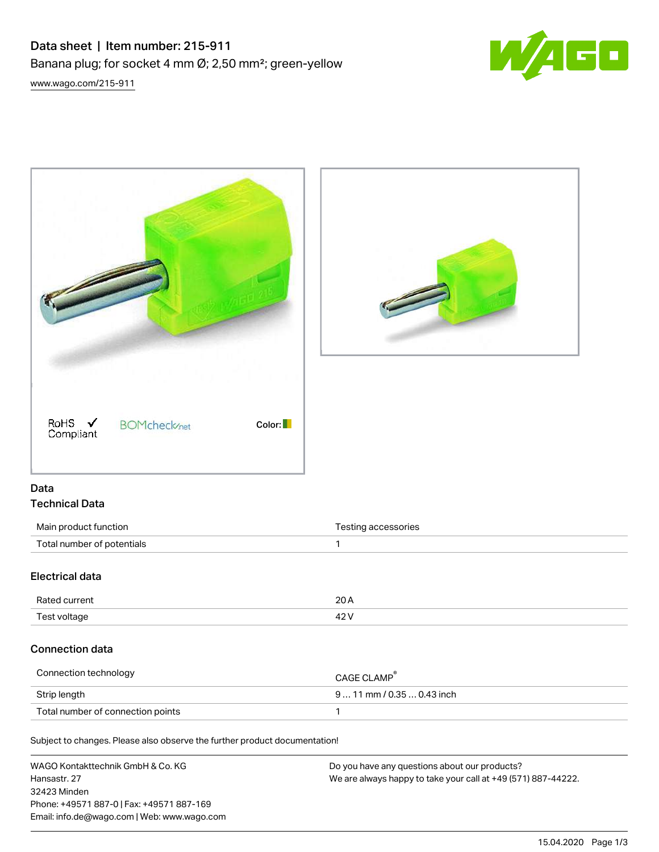# Data sheet | Item number: 215-911 Banana plug; for socket 4 mm Ø; 2,50 mm²; green-yellow



[www.wago.com/215-911](http://www.wago.com/215-911)





## Data Technical Data

| Main product function      | Testing accessories |
|----------------------------|---------------------|
| Total number of potentials |                     |

# Electrical data

| Rated current | $\sim$ |
|---------------|--------|
| Test voltage  | 101    |

# Connection data

| Connection technology             | CAGE CLAMP <sup>®</sup>    |
|-----------------------------------|----------------------------|
| Strip length                      | $911$ mm / 0.35  0.43 inch |
| Total number of connection points |                            |

Subject to changes. Please also observe the further product documentation!

| WAGO Kontakttechnik GmbH & Co. KG           | Do you have any questions about our products?                 |
|---------------------------------------------|---------------------------------------------------------------|
| Hansastr. 27                                | We are always happy to take your call at +49 (571) 887-44222. |
| 32423 Minden                                |                                                               |
| Phone: +49571 887-0   Fax: +49571 887-169   |                                                               |
| Email: info.de@wago.com   Web: www.wago.com |                                                               |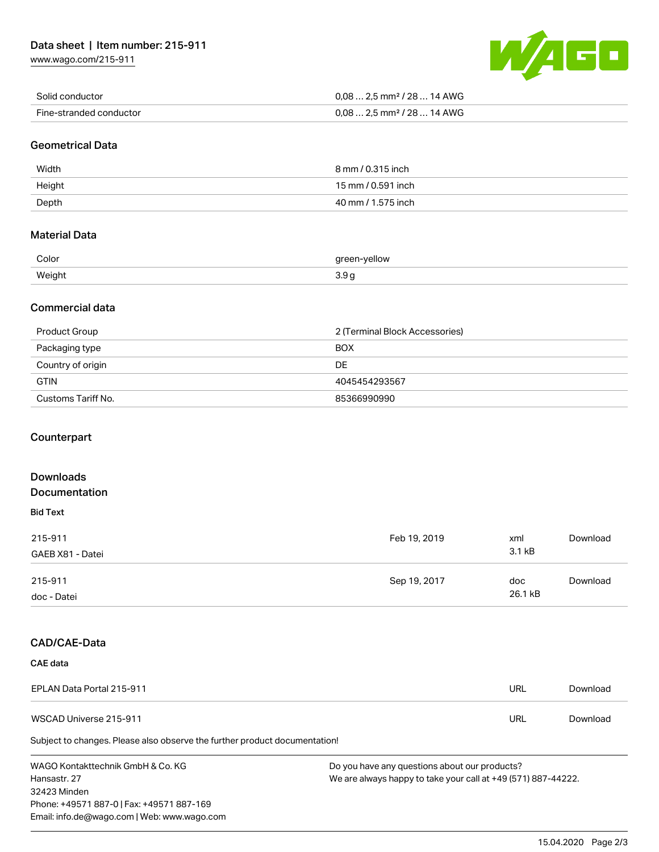[www.wago.com/215-911](http://www.wago.com/215-911)



| Solid conductor         | $0.08$ 2.5 mm <sup>2</sup> / 28  14 AWG |
|-------------------------|-----------------------------------------|
| Fine-stranded conductor | $0.08$ 2.5 mm <sup>2</sup> / 28  14 AWG |

#### Geometrical Data

| Width  | 8 mm / 0.315 inch  |
|--------|--------------------|
| Height | 15 mm / 0.591 inch |
| Depth  | 40 mm / 1.575 inch |

### Material Data

| Color  | areen-vellow |
|--------|--------------|
| Weight | v.v<br>$ -$  |

#### Commercial data

| Product Group      | 2 (Terminal Block Accessories) |
|--------------------|--------------------------------|
| Packaging type     | <b>BOX</b>                     |
| Country of origin  | DE                             |
| <b>GTIN</b>        | 4045454293567                  |
| Customs Tariff No. | 85366990990                    |

#### **Counterpart**

| <b>Downloads</b> |              |         |          |
|------------------|--------------|---------|----------|
| Documentation    |              |         |          |
| <b>Bid Text</b>  |              |         |          |
| 215-911          | Feb 19, 2019 | xml     | Download |
| GAEB X81 - Datei |              | 3.1 kB  |          |
| 215-911          | Sep 19, 2017 | doc     | Download |
| doc - Datei      |              | 26.1 kB |          |

#### CAD/CAE-Data

Phone: +49571 887-0 | Fax: +49571 887-169 Email: info.de@wago.com | Web: www.wago.com

| CAE data                                                                   |                                                               |     |          |
|----------------------------------------------------------------------------|---------------------------------------------------------------|-----|----------|
| EPLAN Data Portal 215-911                                                  |                                                               | URL | Download |
| WSCAD Universe 215-911                                                     |                                                               | URL | Download |
| Subject to changes. Please also observe the further product documentation! |                                                               |     |          |
| WAGO Kontakttechnik GmbH & Co. KG                                          | Do you have any questions about our products?                 |     |          |
| Hansastr, 27                                                               | We are always happy to take your call at +49 (571) 887-44222. |     |          |
| 32423 Minden                                                               |                                                               |     |          |